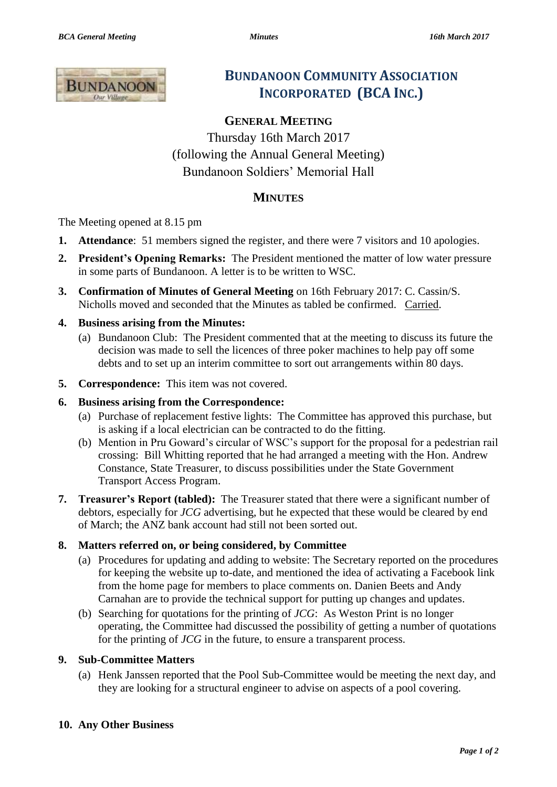

## **BUNDANOON COMMUNITY ASSOCIATION INCORPORATED (BCA INC.)**

# **GENERAL MEETING**

Thursday 16th March 2017 (following the Annual General Meeting) Bundanoon Soldiers' Memorial Hall

### **MINUTES**

The Meeting opened at 8.15 pm

- **1. Attendance**: 51 members signed the register, and there were 7 visitors and 10 apologies.
- **2. President's Opening Remarks:** The President mentioned the matter of low water pressure in some parts of Bundanoon. A letter is to be written to WSC.
- **3. Confirmation of Minutes of General Meeting** on 16th February 2017: C. Cassin/S. Nicholls moved and seconded that the Minutes as tabled be confirmed. Carried.

#### **4. Business arising from the Minutes:**

- (a) Bundanoon Club: The President commented that at the meeting to discuss its future the decision was made to sell the licences of three poker machines to help pay off some debts and to set up an interim committee to sort out arrangements within 80 days.
- **5. Correspondence:** This item was not covered.

#### **6. Business arising from the Correspondence:**

- (a) Purchase of replacement festive lights: The Committee has approved this purchase, but is asking if a local electrician can be contracted to do the fitting.
- (b) Mention in Pru Goward's circular of WSC's support for the proposal for a pedestrian rail crossing: Bill Whitting reported that he had arranged a meeting with the Hon. Andrew Constance, State Treasurer, to discuss possibilities under the State Government Transport Access Program.
- **7. Treasurer's Report (tabled):** The Treasurer stated that there were a significant number of debtors, especially for *JCG* advertising, but he expected that these would be cleared by end of March; the ANZ bank account had still not been sorted out.

#### **8. Matters referred on, or being considered, by Committee**

- (a) Procedures for updating and adding to website: The Secretary reported on the procedures for keeping the website up to-date, and mentioned the idea of activating a Facebook link from the home page for members to place comments on. Danien Beets and Andy Carnahan are to provide the technical support for putting up changes and updates.
- (b) Searching for quotations for the printing of *JCG*: As Weston Print is no longer operating, the Committee had discussed the possibility of getting a number of quotations for the printing of *JCG* in the future, to ensure a transparent process.

#### **9. Sub-Committee Matters**

(a) Henk Janssen reported that the Pool Sub-Committee would be meeting the next day, and they are looking for a structural engineer to advise on aspects of a pool covering.

#### **10. Any Other Business**